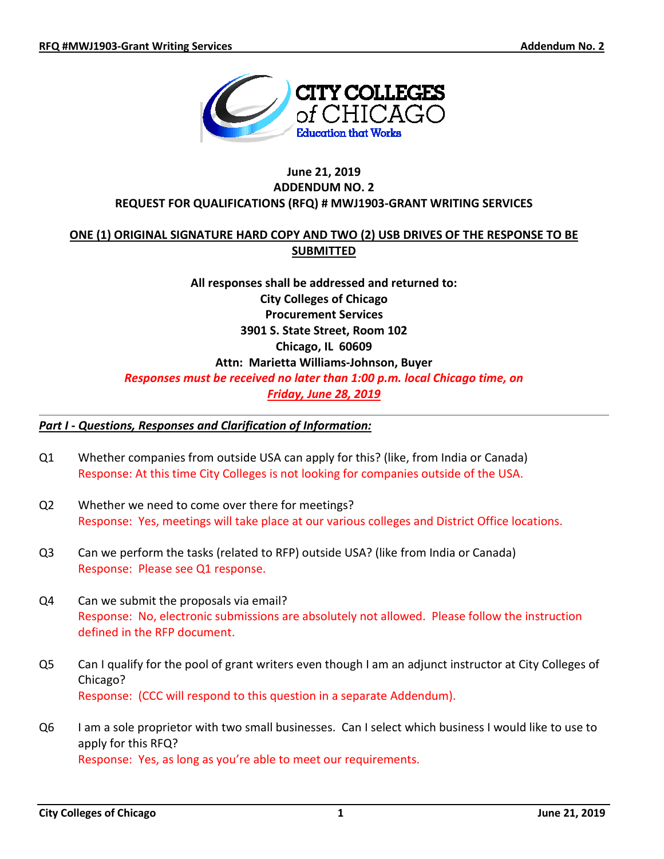

### **June 21, 2019 ADDENDUM NO. 2 REQUEST FOR QUALIFICATIONS (RFQ) # MWJ1903-GRANT WRITING SERVICES**

## **ONE (1) ORIGINAL SIGNATURE HARD COPY AND TWO (2) USB DRIVES OF THE RESPONSE TO BE SUBMITTED**

# **All responses shall be addressed and returned to: City Colleges of Chicago Procurement Services 3901 S. State Street, Room 102 Chicago, IL 60609 Attn: Marietta Williams-Johnson, Buyer** *Responses must be received no later than 1:00 p.m. local Chicago time, on Friday, June 28, 2019*

#### *Part I - Questions, Responses and Clarification of Information:*

- Q1 Whether companies from outside USA can apply for this? (like, from India or Canada) Response: At this time City Colleges is not looking for companies outside of the USA.
- Q2 Whether we need to come over there for meetings? Response: Yes, meetings will take place at our various colleges and District Office locations.
- Q3 Can we perform the tasks (related to RFP) outside USA? (like from India or Canada) Response: Please see Q1 response.
- Q4 Can we submit the proposals via email? Response: No, electronic submissions are absolutely not allowed. Please follow the instruction defined in the RFP document.
- Q5 Can I qualify for the pool of grant writers even though I am an adjunct instructor at City Colleges of Chicago? Response: (CCC will respond to this question in a separate Addendum).
- Q6 I am a sole proprietor with two small businesses. Can I select which business I would like to use to apply for this RFQ? Response: Yes, as long as you're able to meet our requirements.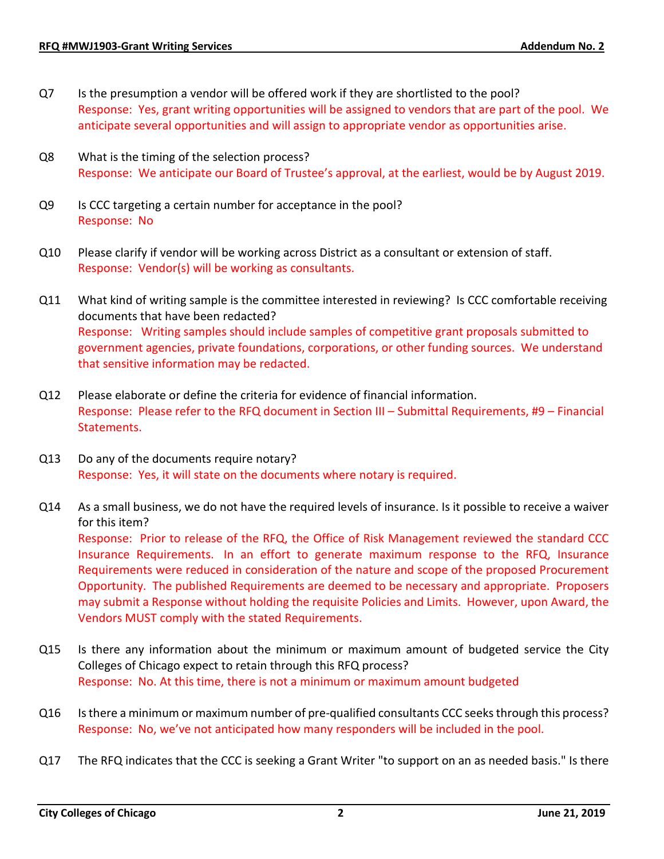- Q7 Is the presumption a vendor will be offered work if they are shortlisted to the pool? Response: Yes, grant writing opportunities will be assigned to vendors that are part of the pool. We anticipate several opportunities and will assign to appropriate vendor as opportunities arise.
- Q8 What is the timing of the selection process? Response: We anticipate our Board of Trustee's approval, at the earliest, would be by August 2019.
- Q9 Is CCC targeting a certain number for acceptance in the pool? Response: No
- Q10 Please clarify if vendor will be working across District as a consultant or extension of staff. Response: Vendor(s) will be working as consultants.
- Q11 What kind of writing sample is the committee interested in reviewing? Is CCC comfortable receiving documents that have been redacted? Response: Writing samples should include samples of competitive grant proposals submitted to government agencies, private foundations, corporations, or other funding sources. We understand that sensitive information may be redacted.
- Q12 Please elaborate or define the criteria for evidence of financial information. Response: Please refer to the RFQ document in Section III – Submittal Requirements, #9 – Financial Statements.
- Q13 Do any of the documents require notary? Response: Yes, it will state on the documents where notary is required.
- Q14 As a small business, we do not have the required levels of insurance. Is it possible to receive a waiver for this item?

Response: Prior to release of the RFQ, the Office of Risk Management reviewed the standard CCC Insurance Requirements. In an effort to generate maximum response to the RFQ, Insurance Requirements were reduced in consideration of the nature and scope of the proposed Procurement Opportunity. The published Requirements are deemed to be necessary and appropriate. Proposers may submit a Response without holding the requisite Policies and Limits. However, upon Award, the Vendors MUST comply with the stated Requirements.

- Q15 Is there any information about the minimum or maximum amount of budgeted service the City Colleges of Chicago expect to retain through this RFQ process? Response: No. At this time, there is not a minimum or maximum amount budgeted
- Q16 Is there a minimum or maximum number of pre-qualified consultants CCC seeks through this process? Response: No, we've not anticipated how many responders will be included in the pool.
- Q17 The RFQ indicates that the CCC is seeking a Grant Writer "to support on an as needed basis." Is there